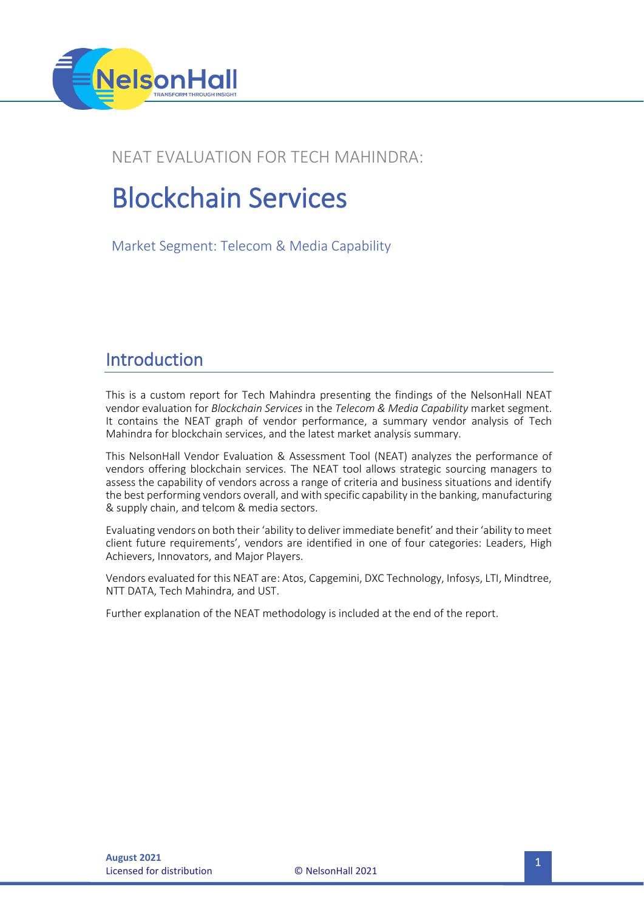

### NEAT EVALUATION FOR TECH MAHINDRA:

# Blockchain Services

Market Segment: Telecom & Media Capability

### Introduction

This is a custom report for Tech Mahindra presenting the findings of the NelsonHall NEAT vendor evaluation for *Blockchain Services* in the *Telecom & Media Capability* market segment. It contains the NEAT graph of vendor performance, a summary vendor analysis of Tech Mahindra for blockchain services, and the latest market analysis summary.

This NelsonHall Vendor Evaluation & Assessment Tool (NEAT) analyzes the performance of vendors offering blockchain services. The NEAT tool allows strategic sourcing managers to assess the capability of vendors across a range of criteria and business situations and identify the best performing vendors overall, and with specific capability in the banking, manufacturing & supply chain, and telcom & media sectors.

Evaluating vendors on both their 'ability to deliver immediate benefit' and their 'ability to meet client future requirements', vendors are identified in one of four categories: Leaders, High Achievers, Innovators, and Major Players.

Vendors evaluated for this NEAT are: Atos, Capgemini, DXC Technology, Infosys, LTI, Mindtree, NTT DATA, Tech Mahindra, and UST.

Further explanation of the NEAT methodology is included at the end of the report.

**Licensed for distribution**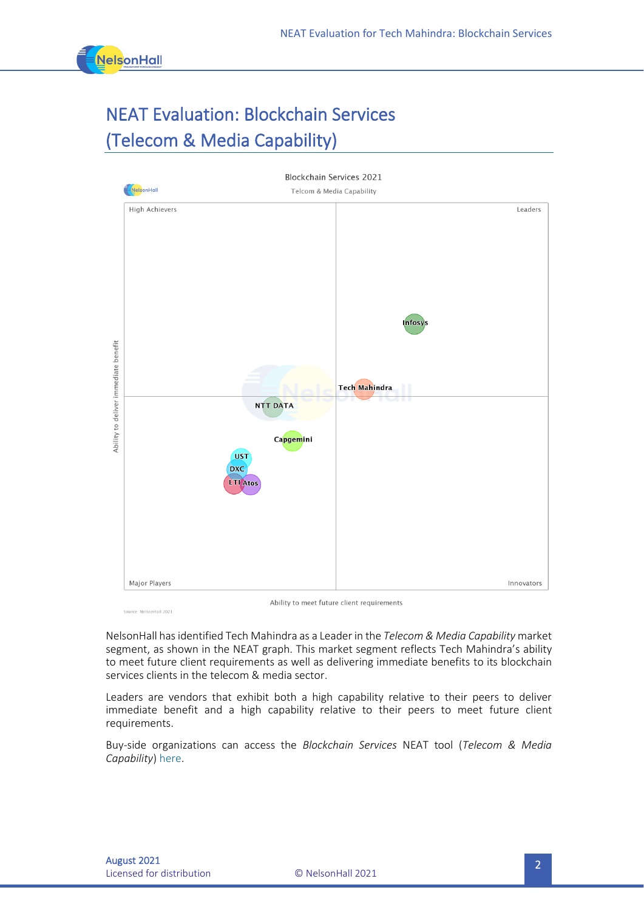

# NEAT Evaluation: Blockchain Services (Telecom & Media Capability)



Source: NelsonHall 2021

Ability to meet future client requirements

NelsonHall has identified Tech Mahindra as a Leader in the *Telecom & Media Capability* market segment, as shown in the NEAT graph. This market segment reflects Tech Mahindra's ability to meet future client requirements as well as delivering immediate benefits to its blockchain services clients in the telecom & media sector.

Leaders are vendors that exhibit both a high capability relative to their peers to deliver immediate benefit and a high capability relative to their peers to meet future client requirements.

Buy-side organizations can access the *Blockchain Services* NEAT tool (*Telecom & Media Capability*) [here.](https://research.nelson-hall.com/sourcing-expertise/neat-reports/?avpage-views=neat&avpage-views=neat&NEATaction=viewProject&project=271&weightingGroup=1632#neatProjectPage)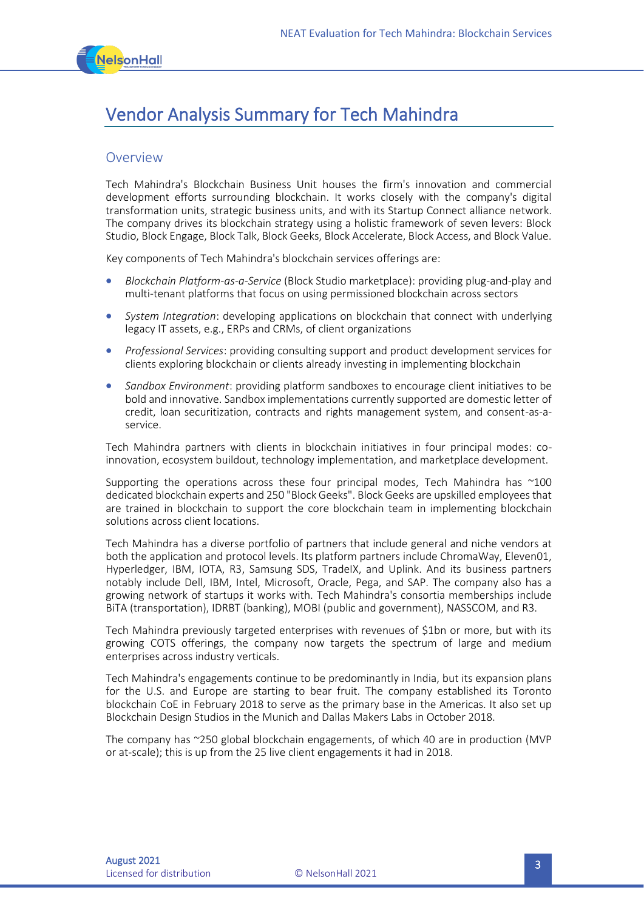

# Vendor Analysis Summary for Tech Mahindra

#### **Overview**

Tech Mahindra's Blockchain Business Unit houses the firm's innovation and commercial development efforts surrounding blockchain. It works closely with the company's digital transformation units, strategic business units, and with its Startup Connect alliance network. The company drives its blockchain strategy using a holistic framework of seven levers: Block Studio, Block Engage, Block Talk, Block Geeks, Block Accelerate, Block Access, and Block Value.

Key components of Tech Mahindra's blockchain services offerings are:

- *Blockchain Platform-as-a-Service* (Block Studio marketplace): providing plug-and-play and multi-tenant platforms that focus on using permissioned blockchain across sectors
- *System Integration*: developing applications on blockchain that connect with underlying legacy IT assets, e.g., ERPs and CRMs, of client organizations
- *Professional Services*: providing consulting support and product development services for clients exploring blockchain or clients already investing in implementing blockchain
- *Sandbox Environment*: providing platform sandboxes to encourage client initiatives to be bold and innovative. Sandbox implementations currently supported are domestic letter of credit, loan securitization, contracts and rights management system, and consent-as-aservice.

Tech Mahindra partners with clients in blockchain initiatives in four principal modes: coinnovation, ecosystem buildout, technology implementation, and marketplace development.

Supporting the operations across these four principal modes, Tech Mahindra has ~100 dedicated blockchain experts and 250 "Block Geeks". Block Geeks are upskilled employees that are trained in blockchain to support the core blockchain team in implementing blockchain solutions across client locations.

Tech Mahindra has a diverse portfolio of partners that include general and niche vendors at both the application and protocol levels. Its platform partners include ChromaWay, Eleven01, Hyperledger, IBM, IOTA, R3, Samsung SDS, TradeIX, and Uplink. And its business partners notably include Dell, IBM, Intel, Microsoft, Oracle, Pega, and SAP. The company also has a growing network of startups it works with. Tech Mahindra's consortia memberships include BiTA (transportation), IDRBT (banking), MOBI (public and government), NASSCOM, and R3.

Tech Mahindra previously targeted enterprises with revenues of \$1bn or more, but with its growing COTS offerings, the company now targets the spectrum of large and medium enterprises across industry verticals.

Tech Mahindra's engagements continue to be predominantly in India, but its expansion plans for the U.S. and Europe are starting to bear fruit. The company established its Toronto blockchain CoE in February 2018 to serve as the primary base in the Americas. It also set up Blockchain Design Studios in the Munich and Dallas Makers Labs in October 2018.

The company has ~250 global blockchain engagements, of which 40 are in production (MVP or at-scale); this is up from the 25 live client engagements it had in 2018.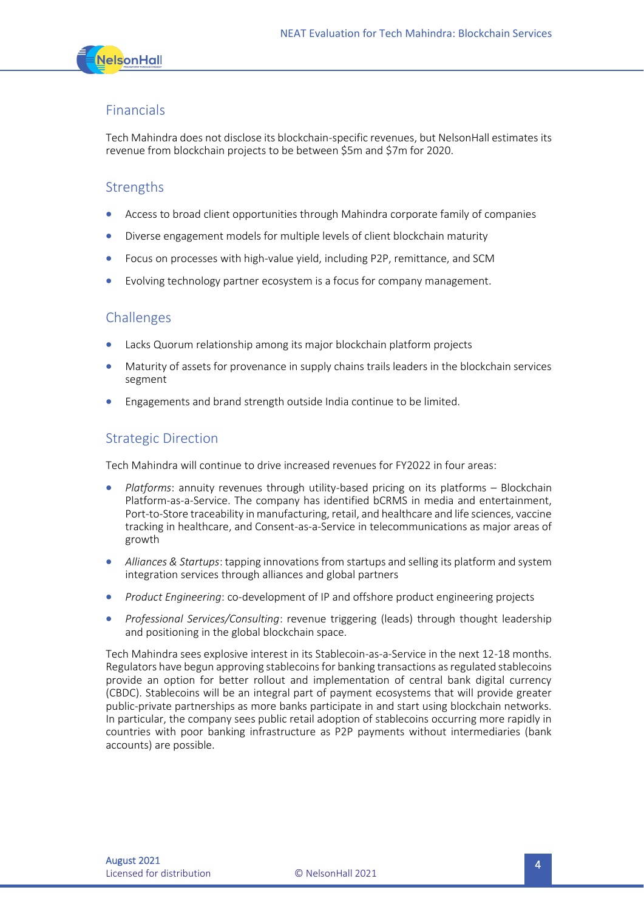

#### Financials

Tech Mahindra does not disclose its blockchain-specific revenues, but NelsonHall estimates its revenue from blockchain projects to be between \$5m and \$7m for 2020.

#### Strengths

- Access to broad client opportunities through Mahindra corporate family of companies
- Diverse engagement models for multiple levels of client blockchain maturity
- Focus on processes with high-value yield, including P2P, remittance, and SCM
- Evolving technology partner ecosystem is a focus for company management.

#### **Challenges**

- Lacks Quorum relationship among its major blockchain platform projects
- Maturity of assets for provenance in supply chains trails leaders in the blockchain services segment
- Engagements and brand strength outside India continue to be limited.

#### Strategic Direction

Tech Mahindra will continue to drive increased revenues for FY2022 in four areas:

- *Platforms*: annuity revenues through utility-based pricing on its platforms Blockchain Platform-as-a-Service. The company has identified bCRMS in media and entertainment, Port-to-Store traceability in manufacturing, retail, and healthcare and life sciences, vaccine tracking in healthcare, and Consent-as-a-Service in telecommunications as major areas of growth
- *Alliances & Startups*: tapping innovations from startups and selling its platform and system integration services through alliances and global partners
- *Product Engineering*: co-development of IP and offshore product engineering projects
- *Professional Services/Consulting*: revenue triggering (leads) through thought leadership and positioning in the global blockchain space.

Tech Mahindra sees explosive interest in its Stablecoin-as-a-Service in the next 12-18 months. Regulators have begun approving stablecoins for banking transactions as regulated stablecoins provide an option for better rollout and implementation of central bank digital currency (CBDC). Stablecoins will be an integral part of payment ecosystems that will provide greater public-private partnerships as more banks participate in and start using blockchain networks. In particular, the company sees public retail adoption of stablecoins occurring more rapidly in countries with poor banking infrastructure as P2P payments without intermediaries (bank accounts) are possible.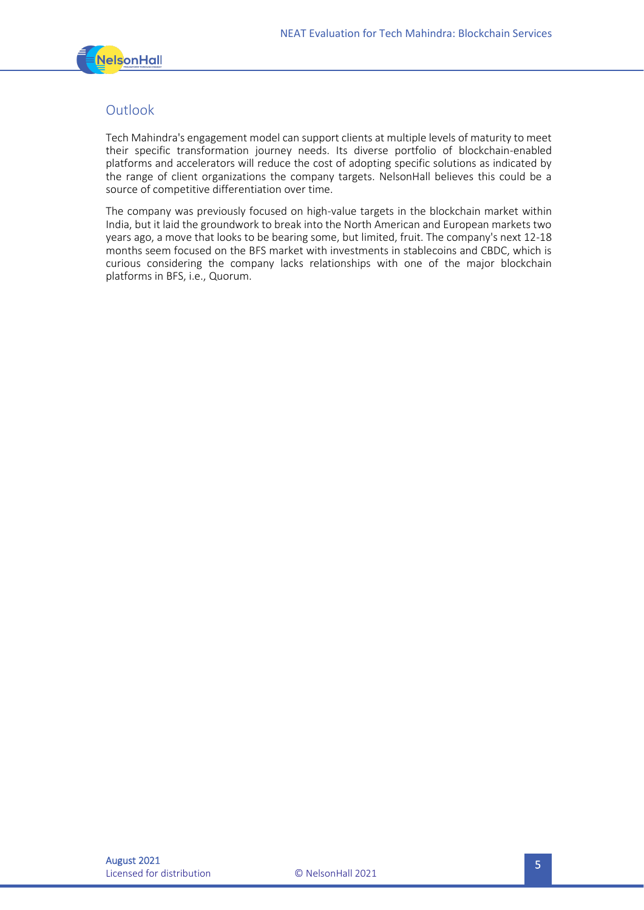

#### **Outlook**

Tech Mahindra's engagement model can support clients at multiple levels of maturity to meet their specific transformation journey needs. Its diverse portfolio of blockchain-enabled platforms and accelerators will reduce the cost of adopting specific solutions as indicated by the range of client organizations the company targets. NelsonHall believes this could be a source of competitive differentiation over time.

The company was previously focused on high-value targets in the blockchain market within India, but it laid the groundwork to break into the North American and European markets two years ago, a move that looks to be bearing some, but limited, fruit. The company's next 12-18 months seem focused on the BFS market with investments in stablecoins and CBDC, which is curious considering the company lacks relationships with one of the major blockchain platforms in BFS, i.e., Quorum.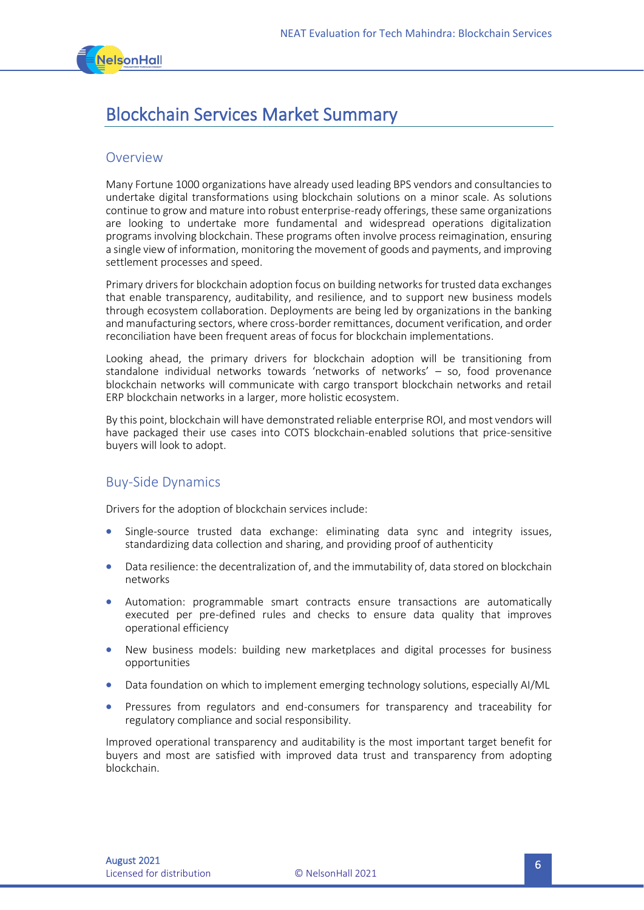

### Blockchain Services Market Summary

#### **Overview**

Many Fortune 1000 organizations have already used leading BPS vendors and consultancies to undertake digital transformations using blockchain solutions on a minor scale. As solutions continue to grow and mature into robust enterprise-ready offerings, these same organizations are looking to undertake more fundamental and widespread operations digitalization programs involving blockchain. These programs often involve process reimagination, ensuring a single view of information, monitoring the movement of goods and payments, and improving settlement processes and speed.

Primary drivers for blockchain adoption focus on building networks for trusted data exchanges that enable transparency, auditability, and resilience, and to support new business models through ecosystem collaboration. Deployments are being led by organizations in the banking and manufacturing sectors, where cross-border remittances, document verification, and order reconciliation have been frequent areas of focus for blockchain implementations.

Looking ahead, the primary drivers for blockchain adoption will be transitioning from standalone individual networks towards 'networks of networks' – so, food provenance blockchain networks will communicate with cargo transport blockchain networks and retail ERP blockchain networks in a larger, more holistic ecosystem.

By this point, blockchain will have demonstrated reliable enterprise ROI, and most vendors will have packaged their use cases into COTS blockchain-enabled solutions that price-sensitive buyers will look to adopt.

#### Buy-Side Dynamics

Drivers for the adoption of blockchain services include:

- Single-source trusted data exchange: eliminating data sync and integrity issues, standardizing data collection and sharing, and providing proof of authenticity
- Data resilience: the decentralization of, and the immutability of, data stored on blockchain networks
- Automation: programmable smart contracts ensure transactions are automatically executed per pre-defined rules and checks to ensure data quality that improves operational efficiency
- New business models: building new marketplaces and digital processes for business opportunities
- Data foundation on which to implement emerging technology solutions, especially AI/ML
- Pressures from regulators and end-consumers for transparency and traceability for regulatory compliance and social responsibility.

Improved operational transparency and auditability is the most important target benefit for buyers and most are satisfied with improved data trust and transparency from adopting blockchain.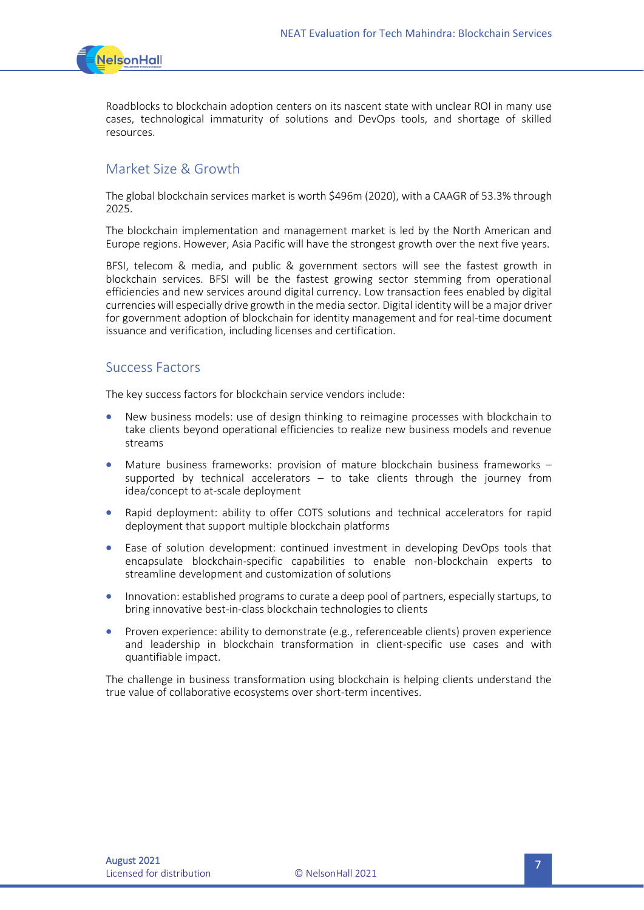

Roadblocks to blockchain adoption centers on its nascent state with unclear ROI in many use cases, technological immaturity of solutions and DevOps tools, and shortage of skilled resources.

#### Market Size & Growth

The global blockchain services market is worth \$496m (2020), with a CAAGR of 53.3% through 2025.

The blockchain implementation and management market is led by the North American and Europe regions. However, Asia Pacific will have the strongest growth over the next five years.

BFSI, telecom & media, and public & government sectors will see the fastest growth in blockchain services. BFSI will be the fastest growing sector stemming from operational efficiencies and new services around digital currency. Low transaction fees enabled by digital currencies will especially drive growth in the media sector. Digital identity will be a major driver for government adoption of blockchain for identity management and for real-time document issuance and verification, including licenses and certification.

#### Success Factors

The key success factors for blockchain service vendors include:

- New business models: use of design thinking to reimagine processes with blockchain to take clients beyond operational efficiencies to realize new business models and revenue streams
- Mature business frameworks: provision of mature blockchain business frameworks supported by technical accelerators – to take clients through the journey from idea/concept to at-scale deployment
- Rapid deployment: ability to offer COTS solutions and technical accelerators for rapid deployment that support multiple blockchain platforms
- Ease of solution development: continued investment in developing DevOps tools that encapsulate blockchain-specific capabilities to enable non-blockchain experts to streamline development and customization of solutions
- Innovation: established programs to curate a deep pool of partners, especially startups, to bring innovative best-in-class blockchain technologies to clients
- Proven experience: ability to demonstrate (e.g., referenceable clients) proven experience and leadership in blockchain transformation in client-specific use cases and with quantifiable impact.

The challenge in business transformation using blockchain is helping clients understand the true value of collaborative ecosystems over short-term incentives.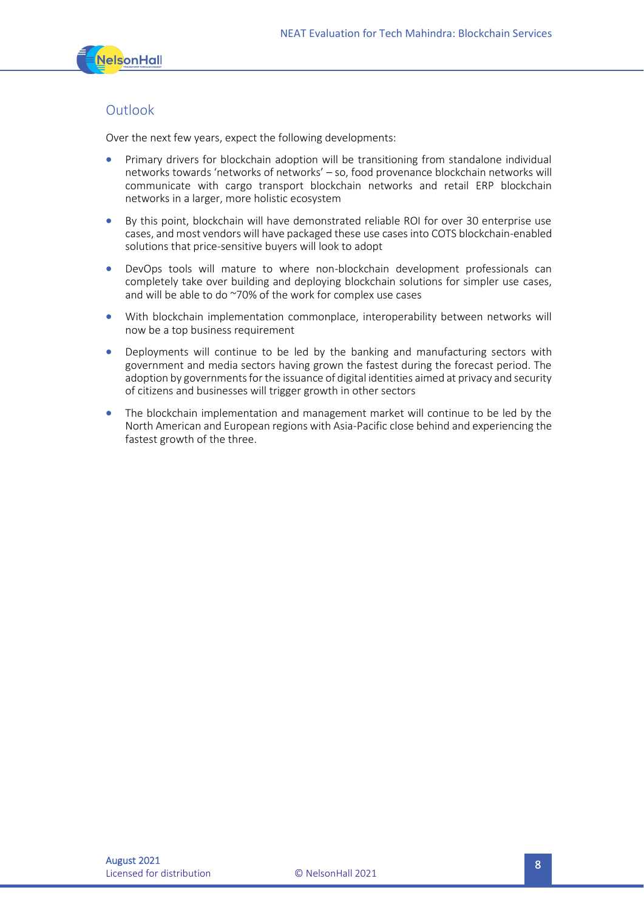

#### **Outlook**

Over the next few years, expect the following developments:

- Primary drivers for blockchain adoption will be transitioning from standalone individual networks towards 'networks of networks' – so, food provenance blockchain networks will communicate with cargo transport blockchain networks and retail ERP blockchain networks in a larger, more holistic ecosystem
- By this point, blockchain will have demonstrated reliable ROI for over 30 enterprise use cases, and most vendors will have packaged these use cases into COTS blockchain-enabled solutions that price-sensitive buyers will look to adopt
- DevOps tools will mature to where non-blockchain development professionals can completely take over building and deploying blockchain solutions for simpler use cases, and will be able to do ~70% of the work for complex use cases
- With blockchain implementation commonplace, interoperability between networks will now be a top business requirement
- Deployments will continue to be led by the banking and manufacturing sectors with government and media sectors having grown the fastest during the forecast period. The adoption by governments for the issuance of digital identities aimed at privacy and security of citizens and businesses will trigger growth in other sectors
- The blockchain implementation and management market will continue to be led by the North American and European regions with Asia-Pacific close behind and experiencing the fastest growth of the three.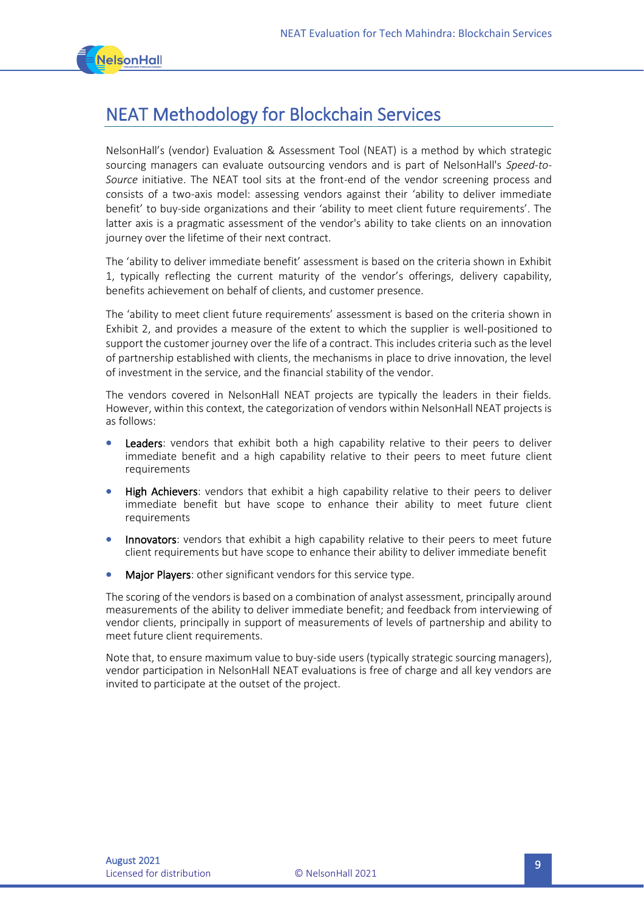

# NEAT Methodology for Blockchain Services

NelsonHall's (vendor) Evaluation & Assessment Tool (NEAT) is a method by which strategic sourcing managers can evaluate outsourcing vendors and is part of NelsonHall's *Speed-to-Source* initiative. The NEAT tool sits at the front-end of the vendor screening process and consists of a two-axis model: assessing vendors against their 'ability to deliver immediate benefit' to buy-side organizations and their 'ability to meet client future requirements'. The latter axis is a pragmatic assessment of the vendor's ability to take clients on an innovation journey over the lifetime of their next contract.

The 'ability to deliver immediate benefit' assessment is based on the criteria shown in Exhibit 1, typically reflecting the current maturity of the vendor's offerings, delivery capability, benefits achievement on behalf of clients, and customer presence.

The 'ability to meet client future requirements' assessment is based on the criteria shown in Exhibit 2, and provides a measure of the extent to which the supplier is well-positioned to support the customer journey over the life of a contract. This includes criteria such as the level of partnership established with clients, the mechanisms in place to drive innovation, the level of investment in the service, and the financial stability of the vendor.

The vendors covered in NelsonHall NEAT projects are typically the leaders in their fields. However, within this context, the categorization of vendors within NelsonHall NEAT projects is as follows:

- Leaders: vendors that exhibit both a high capability relative to their peers to deliver immediate benefit and a high capability relative to their peers to meet future client requirements
- **High Achievers:** vendors that exhibit a high capability relative to their peers to deliver immediate benefit but have scope to enhance their ability to meet future client requirements
- Innovators: vendors that exhibit a high capability relative to their peers to meet future client requirements but have scope to enhance their ability to deliver immediate benefit
- Major Players: other significant vendors for this service type.

The scoring of the vendors is based on a combination of analyst assessment, principally around measurements of the ability to deliver immediate benefit; and feedback from interviewing of vendor clients, principally in support of measurements of levels of partnership and ability to meet future client requirements.

Note that, to ensure maximum value to buy-side users (typically strategic sourcing managers), vendor participation in NelsonHall NEAT evaluations is free of charge and all key vendors are invited to participate at the outset of the project.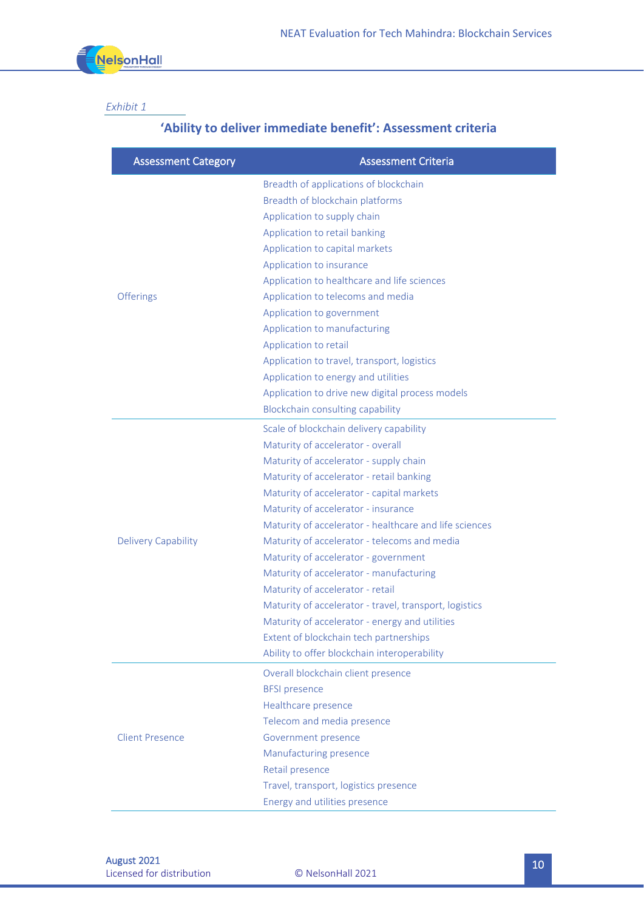

#### *Exhibit 1*

### **'Ability to deliver immediate benefit': Assessment criteria**

| <b>Assessment Category</b> | <b>Assessment Criteria</b>                             |
|----------------------------|--------------------------------------------------------|
| Offerings                  | Breadth of applications of blockchain                  |
|                            | Breadth of blockchain platforms                        |
|                            | Application to supply chain                            |
|                            | Application to retail banking                          |
|                            | Application to capital markets                         |
|                            | Application to insurance                               |
|                            | Application to healthcare and life sciences            |
|                            | Application to telecoms and media                      |
|                            | Application to government                              |
|                            | Application to manufacturing                           |
|                            | Application to retail                                  |
|                            | Application to travel, transport, logistics            |
|                            | Application to energy and utilities                    |
|                            | Application to drive new digital process models        |
|                            | Blockchain consulting capability                       |
| <b>Delivery Capability</b> | Scale of blockchain delivery capability                |
|                            | Maturity of accelerator - overall                      |
|                            | Maturity of accelerator - supply chain                 |
|                            | Maturity of accelerator - retail banking               |
|                            | Maturity of accelerator - capital markets              |
|                            | Maturity of accelerator - insurance                    |
|                            | Maturity of accelerator - healthcare and life sciences |
|                            | Maturity of accelerator - telecoms and media           |
|                            | Maturity of accelerator - government                   |
|                            | Maturity of accelerator - manufacturing                |
|                            | Maturity of accelerator - retail                       |
|                            | Maturity of accelerator - travel, transport, logistics |
|                            | Maturity of accelerator - energy and utilities         |
|                            | Extent of blockchain tech partnerships                 |
|                            | Ability to offer blockchain interoperability           |
| <b>Client Presence</b>     | Overall blockchain client presence                     |
|                            | <b>BFSI</b> presence                                   |
|                            | Healthcare presence                                    |
|                            | Telecom and media presence                             |
|                            | Government presence                                    |
|                            | Manufacturing presence                                 |
|                            | Retail presence                                        |
|                            | Travel, transport, logistics presence                  |
|                            | Energy and utilities presence                          |